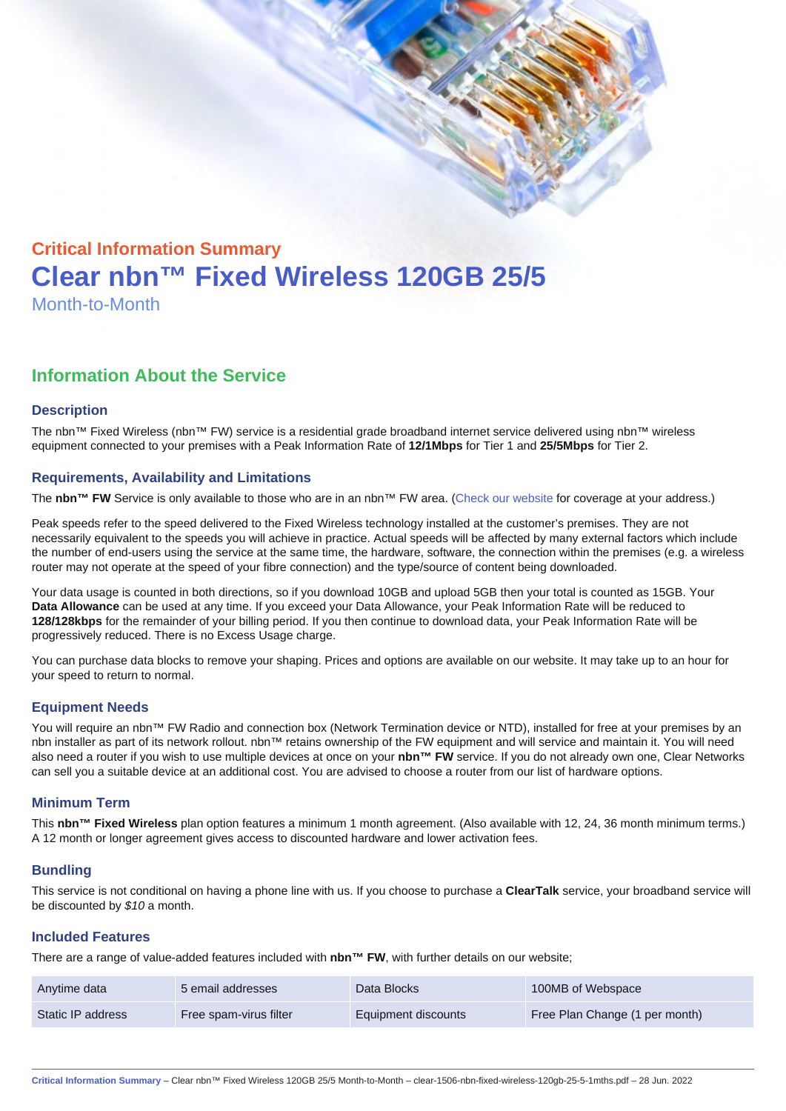# Critical Information Summary Clear nbn™ Fixed Wireless 120GB 25/5 Month-to-Month

## Information About the Service

## **Description**

The nbn™ Fixed Wireless (nbn™ FW) service is a residential grade broadband internet service delivered using nbn™ wireless equipment connected to your premises with a Peak Information Rate of 12/1Mbps for Tier 1 and 25/5Mbps for Tier 2.

## Requirements, Availability and Limitations

The nbn™ FW Service is only available to those who are in an nbn™ FW area. [\(Check our website](https://www.clear.com.au/residential/nbn-fixed-wireless/) for coverage at your address.)

Peak speeds refer to the speed delivered to the Fixed Wireless technology installed at the customer's premises. They are not necessarily equivalent to the speeds you will achieve in practice. Actual speeds will be affected by many external factors which include the number of end-users using the service at the same time, the hardware, software, the connection within the premises (e.g. a wireless router may not operate at the speed of your fibre connection) and the type/source of content being downloaded.

Your data usage is counted in both directions, so if you download 10GB and upload 5GB then your total is counted as 15GB. Your Data Allowance can be used at any time. If you exceed your Data Allowance, your Peak Information Rate will be reduced to 128/128kbps for the remainder of your billing period. If you then continue to download data, your Peak Information Rate will be progressively reduced. There is no Excess Usage charge.

You can purchase data blocks to remove your shaping. Prices and options are available on our website. It may take up to an hour for your speed to return to normal.

## Equipment Needs

You will require an nbn™ FW Radio and connection box (Network Termination device or NTD), installed for free at your premises by an nbn installer as part of its network rollout. nbn™ retains ownership of the FW equipment and will service and maintain it. You will need also need a router if you wish to use multiple devices at once on your nbn™ FW service. If you do not already own one, Clear Networks can sell you a suitable device at an additional cost. You are advised to choose a router from our list of hardware options.

#### Minimum Term

This nbn™ Fixed Wireless plan option features a minimum 1 month agreement. (Also available with 12, 24, 36 month minimum terms.) A 12 month or longer agreement gives access to discounted hardware and lower activation fees.

## **Bundling**

This service is not conditional on having a phone line with us. If you choose to purchase a ClearTalk service, your broadband service will be discounted by \$10 a month.

#### Included Features

There are a range of value-added features included with nbn™ FW, with further details on our website;

| Anytime data      | 5 email addresses      | Data Blocks         | 100MB of Webspace              |
|-------------------|------------------------|---------------------|--------------------------------|
| Static IP address | Free spam-virus filter | Equipment discounts | Free Plan Change (1 per month) |